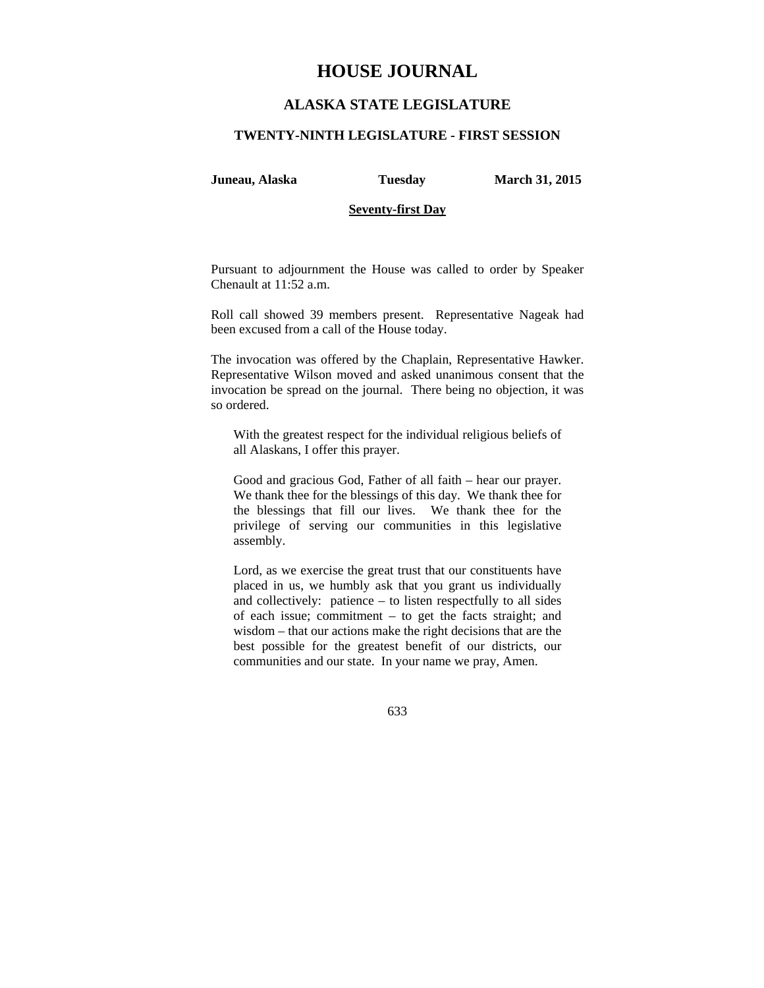# **HOUSE JOURNAL**

# **ALASKA STATE LEGISLATURE**

#### **TWENTY-NINTH LEGISLATURE - FIRST SESSION**

**Juneau, Alaska Tuesday March 31, 2015** 

#### **Seventy-first Day**

Pursuant to adjournment the House was called to order by Speaker Chenault at 11:52 a.m.

Roll call showed 39 members present. Representative Nageak had been excused from a call of the House today.

The invocation was offered by the Chaplain, Representative Hawker. Representative Wilson moved and asked unanimous consent that the invocation be spread on the journal. There being no objection, it was so ordered.

With the greatest respect for the individual religious beliefs of all Alaskans, I offer this prayer.

Good and gracious God, Father of all faith – hear our prayer. We thank thee for the blessings of this day. We thank thee for the blessings that fill our lives. We thank thee for the privilege of serving our communities in this legislative assembly.

Lord, as we exercise the great trust that our constituents have placed in us, we humbly ask that you grant us individually and collectively: patience – to listen respectfully to all sides of each issue; commitment – to get the facts straight; and wisdom – that our actions make the right decisions that are the best possible for the greatest benefit of our districts, our communities and our state. In your name we pray, Amen.

633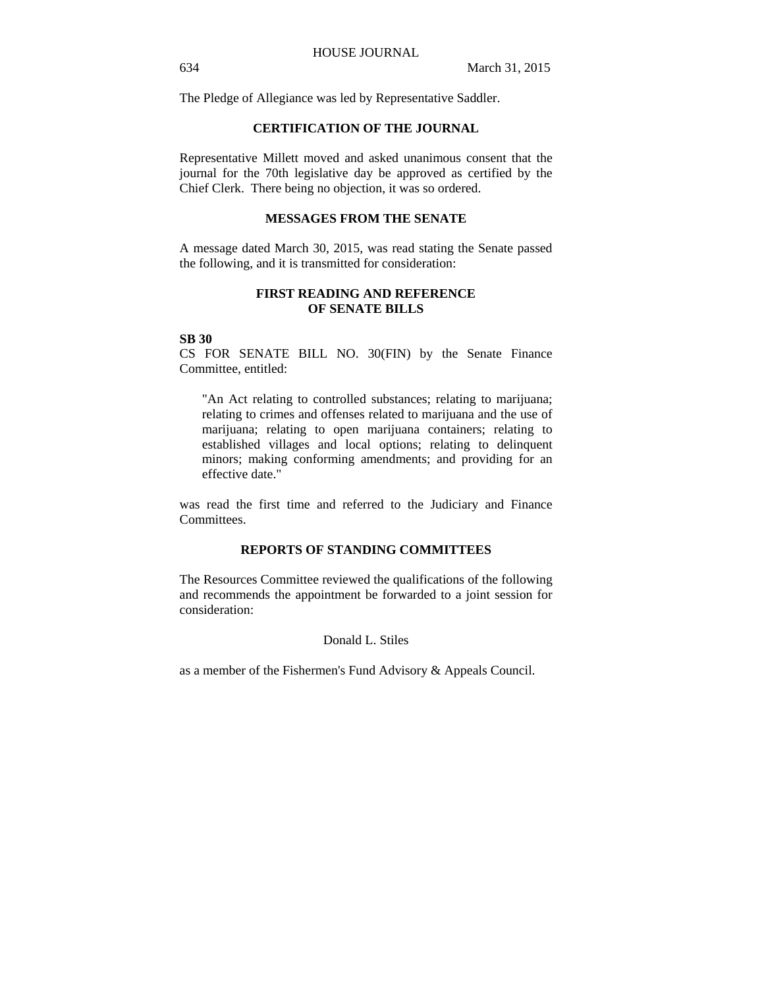The Pledge of Allegiance was led by Representative Saddler.

#### **CERTIFICATION OF THE JOURNAL**

Representative Millett moved and asked unanimous consent that the journal for the 70th legislative day be approved as certified by the Chief Clerk. There being no objection, it was so ordered.

#### **MESSAGES FROM THE SENATE**

A message dated March 30, 2015, was read stating the Senate passed the following, and it is transmitted for consideration:

### **FIRST READING AND REFERENCE OF SENATE BILLS**

### **SB 30**

CS FOR SENATE BILL NO. 30(FIN) by the Senate Finance Committee, entitled:

"An Act relating to controlled substances; relating to marijuana; relating to crimes and offenses related to marijuana and the use of marijuana; relating to open marijuana containers; relating to established villages and local options; relating to delinquent minors; making conforming amendments; and providing for an effective date."

was read the first time and referred to the Judiciary and Finance Committees.

# **REPORTS OF STANDING COMMITTEES**

The Resources Committee reviewed the qualifications of the following and recommends the appointment be forwarded to a joint session for consideration:

### Donald L. Stiles

as a member of the Fishermen's Fund Advisory & Appeals Council.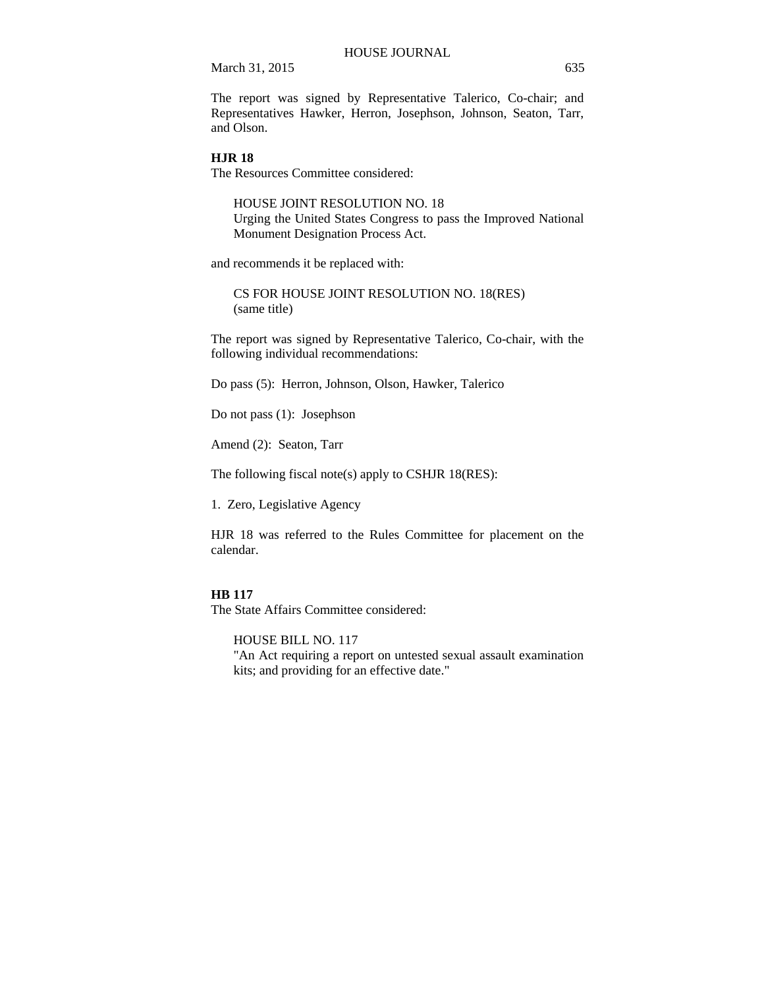The report was signed by Representative Talerico, Co-chair; and Representatives Hawker, Herron, Josephson, Johnson, Seaton, Tarr, and Olson.

#### **HJR 18**

The Resources Committee considered:

HOUSE JOINT RESOLUTION NO. 18 Urging the United States Congress to pass the Improved National Monument Designation Process Act.

and recommends it be replaced with:

CS FOR HOUSE JOINT RESOLUTION NO. 18(RES) (same title)

The report was signed by Representative Talerico, Co-chair, with the following individual recommendations:

Do pass (5): Herron, Johnson, Olson, Hawker, Talerico

Do not pass (1): Josephson

Amend (2): Seaton, Tarr

The following fiscal note(s) apply to CSHJR 18(RES):

1. Zero, Legislative Agency

HJR 18 was referred to the Rules Committee for placement on the calendar.

#### **HB 117**

The State Affairs Committee considered:

HOUSE BILL NO. 117 "An Act requiring a report on untested sexual assault examination kits; and providing for an effective date."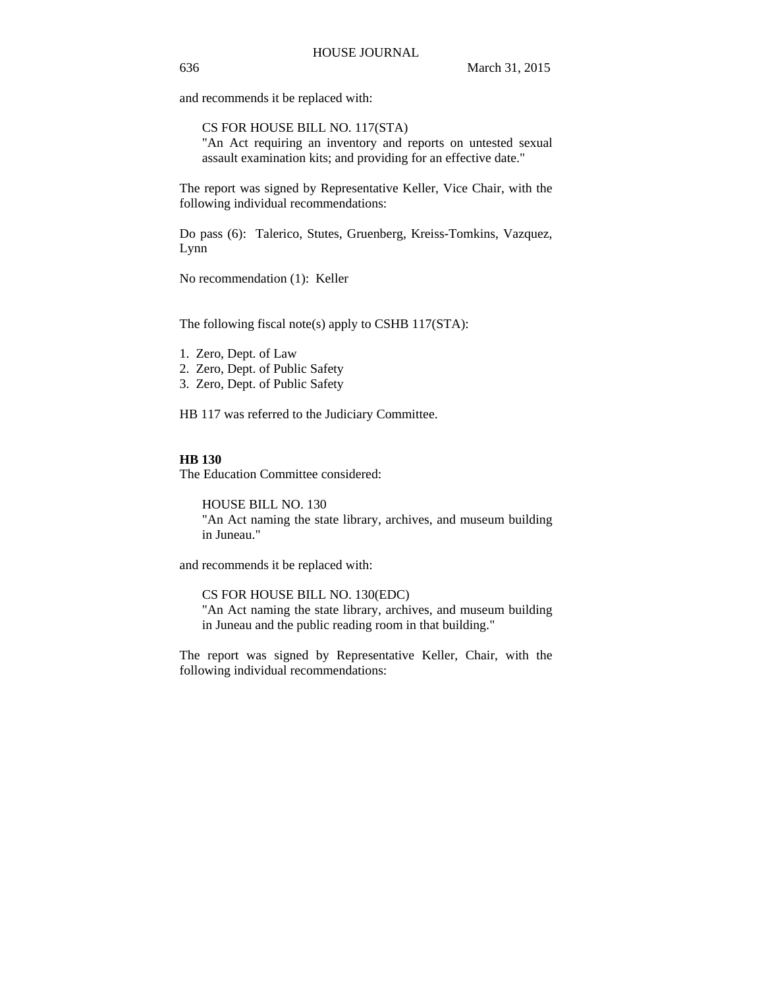and recommends it be replaced with:

CS FOR HOUSE BILL NO. 117(STA) "An Act requiring an inventory and reports on untested sexual assault examination kits; and providing for an effective date."

The report was signed by Representative Keller, Vice Chair, with the following individual recommendations:

Do pass (6): Talerico, Stutes, Gruenberg, Kreiss-Tomkins, Vazquez, Lynn

No recommendation (1): Keller

The following fiscal note(s) apply to CSHB 117(STA):

- 1. Zero, Dept. of Law
- 2. Zero, Dept. of Public Safety
- 3. Zero, Dept. of Public Safety

HB 117 was referred to the Judiciary Committee.

# **HB 130**

The Education Committee considered:

HOUSE BILL NO. 130 "An Act naming the state library, archives, and museum building in Juneau."

and recommends it be replaced with:

CS FOR HOUSE BILL NO. 130(EDC)

"An Act naming the state library, archives, and museum building in Juneau and the public reading room in that building."

The report was signed by Representative Keller, Chair, with the following individual recommendations: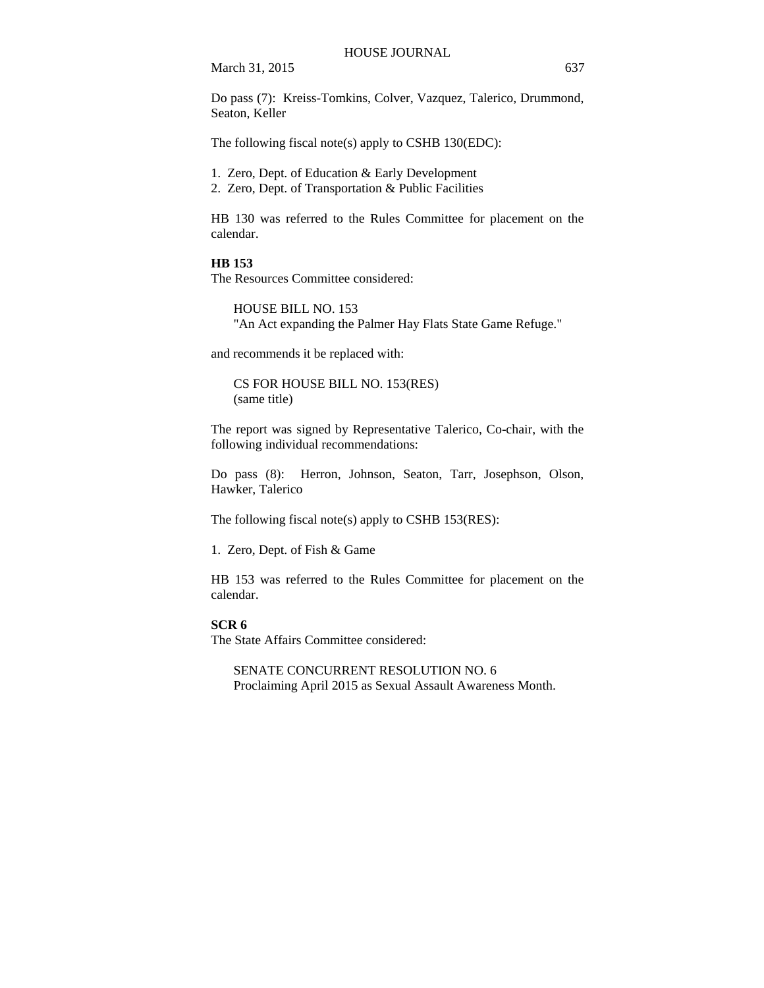Do pass (7): Kreiss-Tomkins, Colver, Vazquez, Talerico, Drummond, Seaton, Keller

The following fiscal note(s) apply to CSHB 130(EDC):

- 1. Zero, Dept. of Education & Early Development
- 2. Zero, Dept. of Transportation & Public Facilities

HB 130 was referred to the Rules Committee for placement on the calendar.

#### **HB 153**

The Resources Committee considered:

HOUSE BILL NO. 153 "An Act expanding the Palmer Hay Flats State Game Refuge."

and recommends it be replaced with:

CS FOR HOUSE BILL NO. 153(RES) (same title)

The report was signed by Representative Talerico, Co-chair, with the following individual recommendations:

Do pass (8): Herron, Johnson, Seaton, Tarr, Josephson, Olson, Hawker, Talerico

The following fiscal note(s) apply to CSHB 153(RES):

1. Zero, Dept. of Fish & Game

HB 153 was referred to the Rules Committee for placement on the calendar.

### **SCR 6**

The State Affairs Committee considered:

SENATE CONCURRENT RESOLUTION NO. 6 Proclaiming April 2015 as Sexual Assault Awareness Month.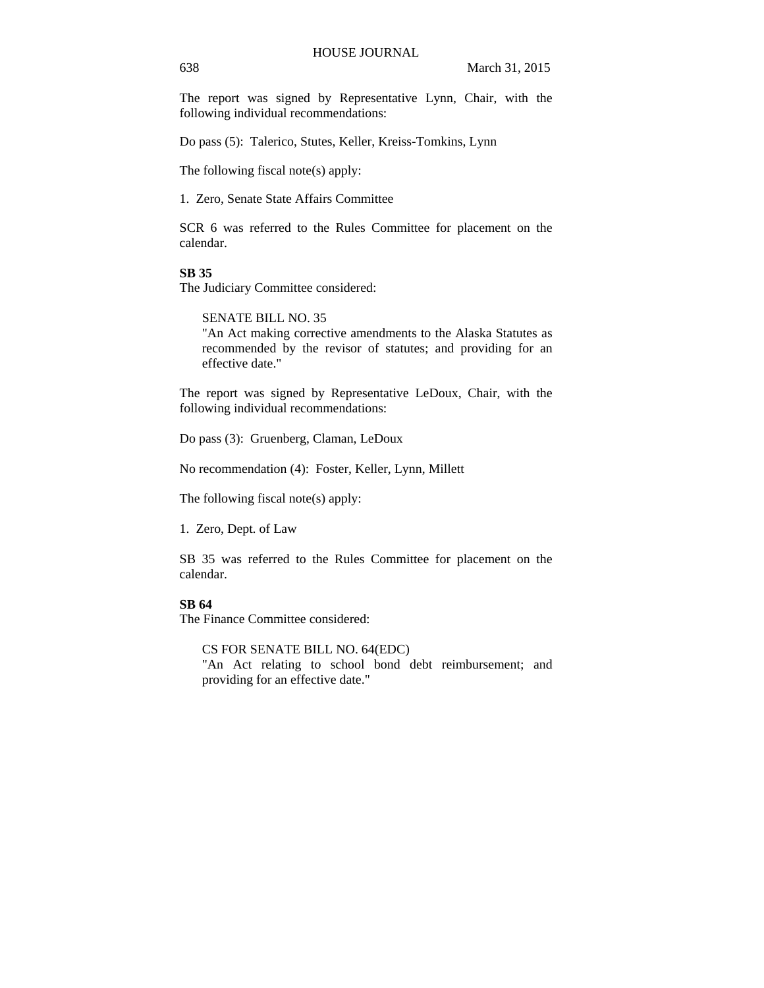The report was signed by Representative Lynn, Chair, with the following individual recommendations:

Do pass (5): Talerico, Stutes, Keller, Kreiss-Tomkins, Lynn

The following fiscal note(s) apply:

1. Zero, Senate State Affairs Committee

SCR 6 was referred to the Rules Committee for placement on the calendar.

### **SB 35**

The Judiciary Committee considered:

SENATE BILL NO. 35

"An Act making corrective amendments to the Alaska Statutes as recommended by the revisor of statutes; and providing for an effective date."

The report was signed by Representative LeDoux, Chair, with the following individual recommendations:

Do pass (3): Gruenberg, Claman, LeDoux

No recommendation (4): Foster, Keller, Lynn, Millett

The following fiscal note(s) apply:

1. Zero, Dept. of Law

SB 35 was referred to the Rules Committee for placement on the calendar.

# **SB 64**

The Finance Committee considered:

CS FOR SENATE BILL NO. 64(EDC)

"An Act relating to school bond debt reimbursement; and providing for an effective date."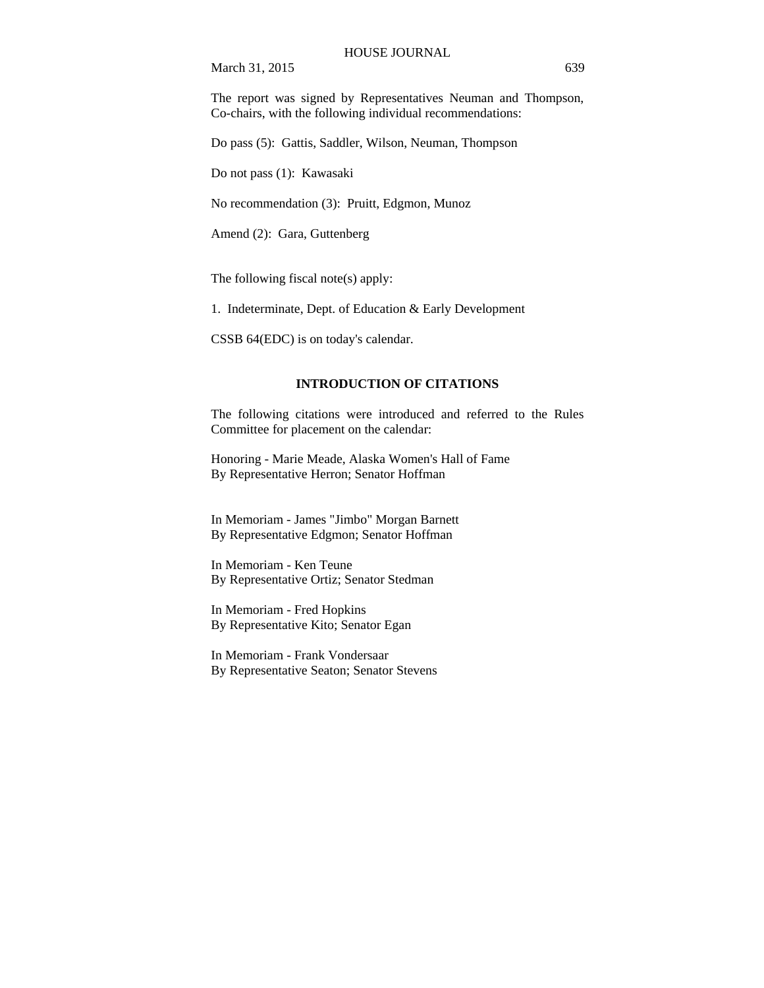The report was signed by Representatives Neuman and Thompson, Co-chairs, with the following individual recommendations:

Do pass (5): Gattis, Saddler, Wilson, Neuman, Thompson

Do not pass (1): Kawasaki

No recommendation (3): Pruitt, Edgmon, Munoz

Amend (2): Gara, Guttenberg

The following fiscal note(s) apply:

1. Indeterminate, Dept. of Education & Early Development

CSSB 64(EDC) is on today's calendar.

# **INTRODUCTION OF CITATIONS**

The following citations were introduced and referred to the Rules Committee for placement on the calendar:

Honoring - Marie Meade, Alaska Women's Hall of Fame By Representative Herron; Senator Hoffman

In Memoriam - James "Jimbo" Morgan Barnett By Representative Edgmon; Senator Hoffman

In Memoriam - Ken Teune By Representative Ortiz; Senator Stedman

In Memoriam - Fred Hopkins By Representative Kito; Senator Egan

In Memoriam - Frank Vondersaar By Representative Seaton; Senator Stevens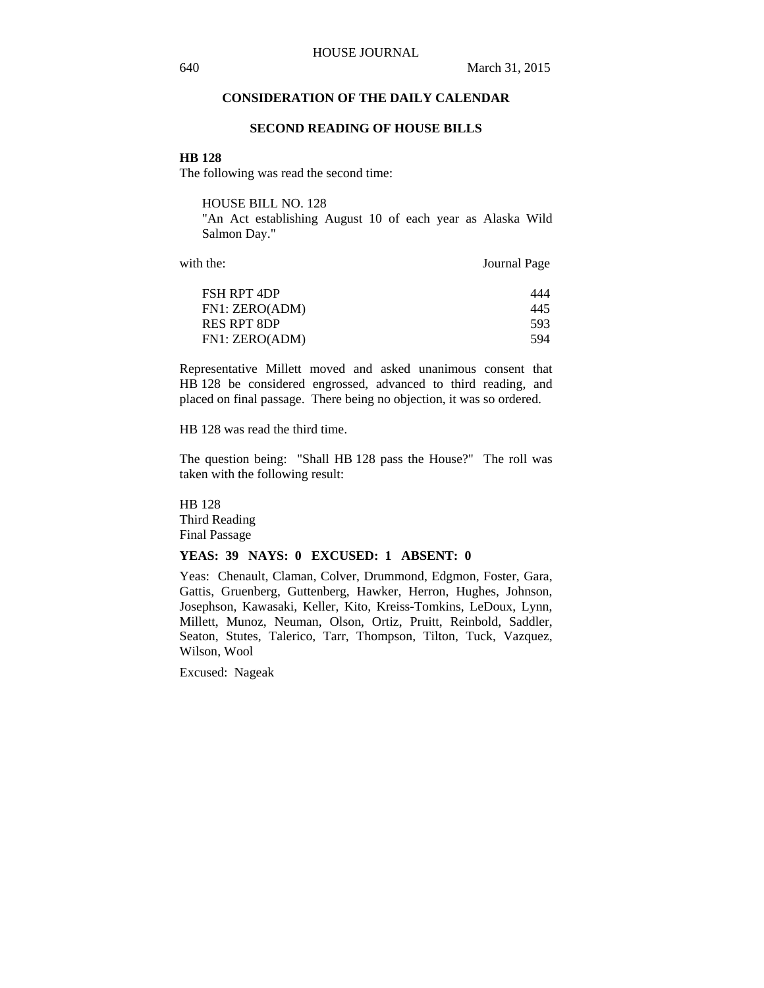# **CONSIDERATION OF THE DAILY CALENDAR**

#### **SECOND READING OF HOUSE BILLS**

#### **HB 128**

The following was read the second time:

HOUSE BILL NO. 128

"An Act establishing August 10 of each year as Alaska Wild Salmon Day."

with the: Journal Page

| FSH RPT 4DP                   | 444         |
|-------------------------------|-------------|
| FN1: ZERO(ADM)<br>RES RPT 8DP | 445<br>593. |
| FN1: ZERO(ADM)                | 594         |

Representative Millett moved and asked unanimous consent that HB 128 be considered engrossed, advanced to third reading, and placed on final passage. There being no objection, it was so ordered.

HB 128 was read the third time.

The question being: "Shall HB 128 pass the House?" The roll was taken with the following result:

HB 128 Third Reading Final Passage

# **YEAS: 39 NAYS: 0 EXCUSED: 1 ABSENT: 0**

Yeas: Chenault, Claman, Colver, Drummond, Edgmon, Foster, Gara, Gattis, Gruenberg, Guttenberg, Hawker, Herron, Hughes, Johnson, Josephson, Kawasaki, Keller, Kito, Kreiss-Tomkins, LeDoux, Lynn, Millett, Munoz, Neuman, Olson, Ortiz, Pruitt, Reinbold, Saddler, Seaton, Stutes, Talerico, Tarr, Thompson, Tilton, Tuck, Vazquez, Wilson, Wool

Excused: Nageak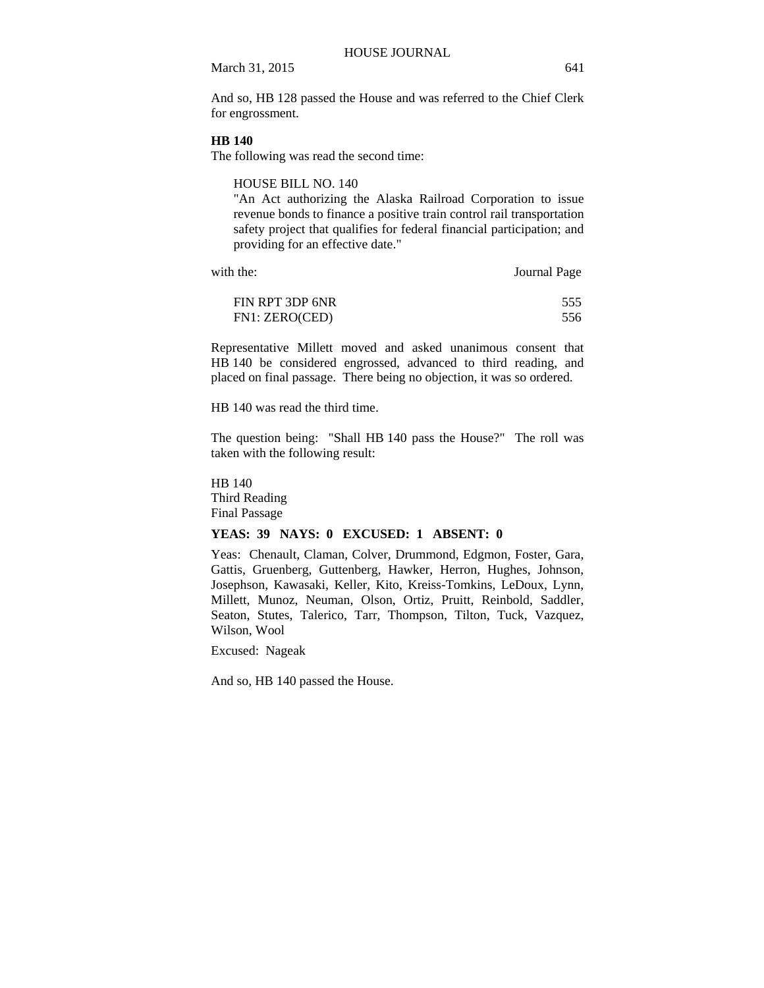And so, HB 128 passed the House and was referred to the Chief Clerk for engrossment.

#### **HB 140**

The following was read the second time:

HOUSE BILL NO. 140

"An Act authorizing the Alaska Railroad Corporation to issue revenue bonds to finance a positive train control rail transportation safety project that qualifies for federal financial participation; and providing for an effective date."

with the: Journal Page

| FIN RPT 3DP 6NR | 555 |
|-----------------|-----|
| FN1: ZERO(CED)  | 556 |

Representative Millett moved and asked unanimous consent that HB 140 be considered engrossed, advanced to third reading, and placed on final passage. There being no objection, it was so ordered.

HB 140 was read the third time.

The question being: "Shall HB 140 pass the House?" The roll was taken with the following result:

HB 140 Third Reading Final Passage

#### **YEAS: 39 NAYS: 0 EXCUSED: 1 ABSENT: 0**

Yeas: Chenault, Claman, Colver, Drummond, Edgmon, Foster, Gara, Gattis, Gruenberg, Guttenberg, Hawker, Herron, Hughes, Johnson, Josephson, Kawasaki, Keller, Kito, Kreiss-Tomkins, LeDoux, Lynn, Millett, Munoz, Neuman, Olson, Ortiz, Pruitt, Reinbold, Saddler, Seaton, Stutes, Talerico, Tarr, Thompson, Tilton, Tuck, Vazquez, Wilson, Wool

Excused: Nageak

And so, HB 140 passed the House.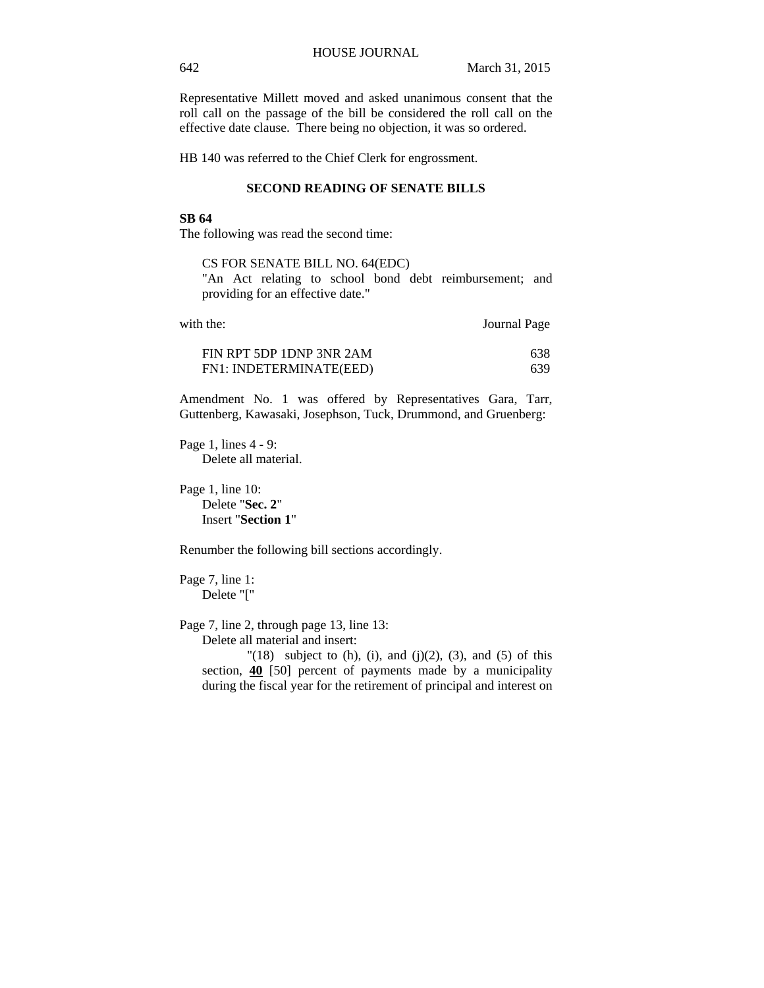Representative Millett moved and asked unanimous consent that the roll call on the passage of the bill be considered the roll call on the effective date clause. There being no objection, it was so ordered.

HB 140 was referred to the Chief Clerk for engrossment.

#### **SECOND READING OF SENATE BILLS**

#### **SB 64**

The following was read the second time:

CS FOR SENATE BILL NO. 64(EDC)

"An Act relating to school bond debt reimbursement; and providing for an effective date."

| with the:                | Journal Page |
|--------------------------|--------------|
| FIN RPT 5DP 1DNP 3NR 2AM | 638.         |

FN1: INDETERMINATE(EED) 639

Amendment No. 1 was offered by Representatives Gara, Tarr, Guttenberg, Kawasaki, Josephson, Tuck, Drummond, and Gruenberg:

Page 1, lines 4 - 9: Delete all material.

Page 1, line 10: Delete "**Sec. 2**" Insert "**Section 1**"

Renumber the following bill sections accordingly.

Page 7, line 1: Delete "["

Page 7, line 2, through page 13, line 13:

Delete all material and insert:

" $(18)$  subject to  $(h)$ ,  $(i)$ , and  $(j)(2)$ ,  $(3)$ , and  $(5)$  of this section, **40** [50] percent of payments made by a municipality during the fiscal year for the retirement of principal and interest on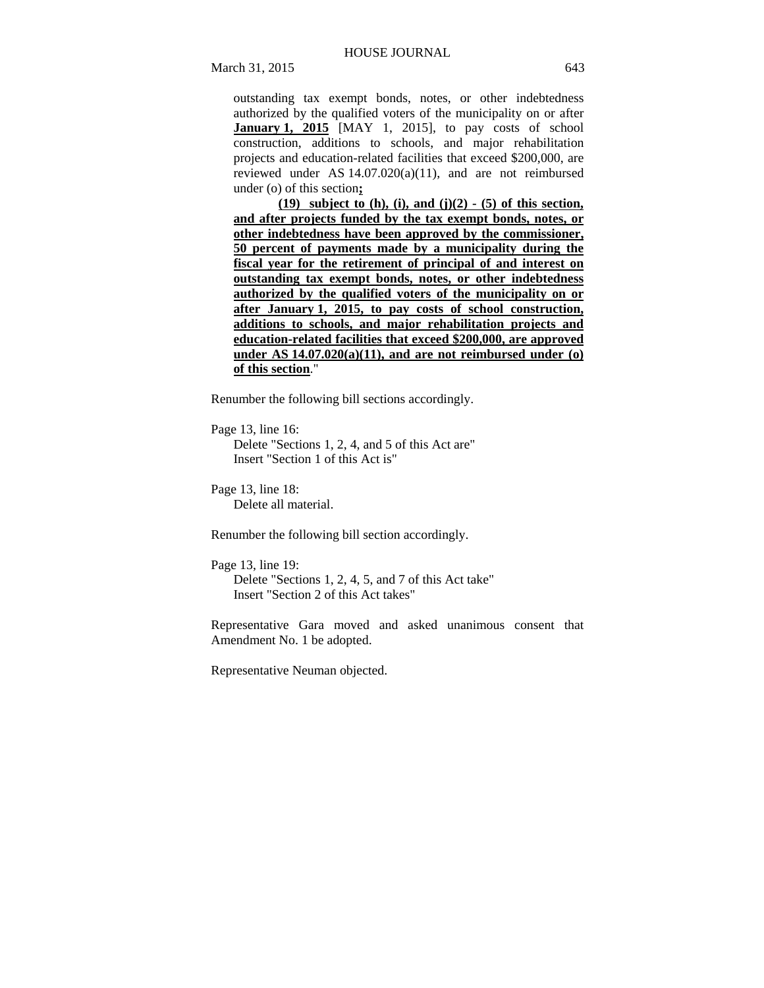outstanding tax exempt bonds, notes, or other indebtedness authorized by the qualified voters of the municipality on or after **January 1, 2015** [MAY 1, 2015], to pay costs of school construction, additions to schools, and major rehabilitation projects and education-related facilities that exceed \$200,000, are reviewed under AS 14.07.020(a)(11), and are not reimbursed under (o) of this section**;**

**(19) subject to (h), (i), and (j)(2) - (5) of this section, and after projects funded by the tax exempt bonds, notes, or other indebtedness have been approved by the commissioner, 50 percent of payments made by a municipality during the fiscal year for the retirement of principal of and interest on outstanding tax exempt bonds, notes, or other indebtedness authorized by the qualified voters of the municipality on or after January 1, 2015, to pay costs of school construction, additions to schools, and major rehabilitation projects and education-related facilities that exceed \$200,000, are approved under AS 14.07.020(a)(11), and are not reimbursed under (o) of this section**."

Renumber the following bill sections accordingly.

Page 13, line 16:

Delete "Sections 1, 2, 4, and 5 of this Act are" Insert "Section 1 of this Act is"

Page 13, line 18: Delete all material.

Renumber the following bill section accordingly.

Page 13, line 19: Delete "Sections 1, 2, 4, 5, and 7 of this Act take"

Insert "Section 2 of this Act takes"

Representative Gara moved and asked unanimous consent that Amendment No. 1 be adopted.

Representative Neuman objected.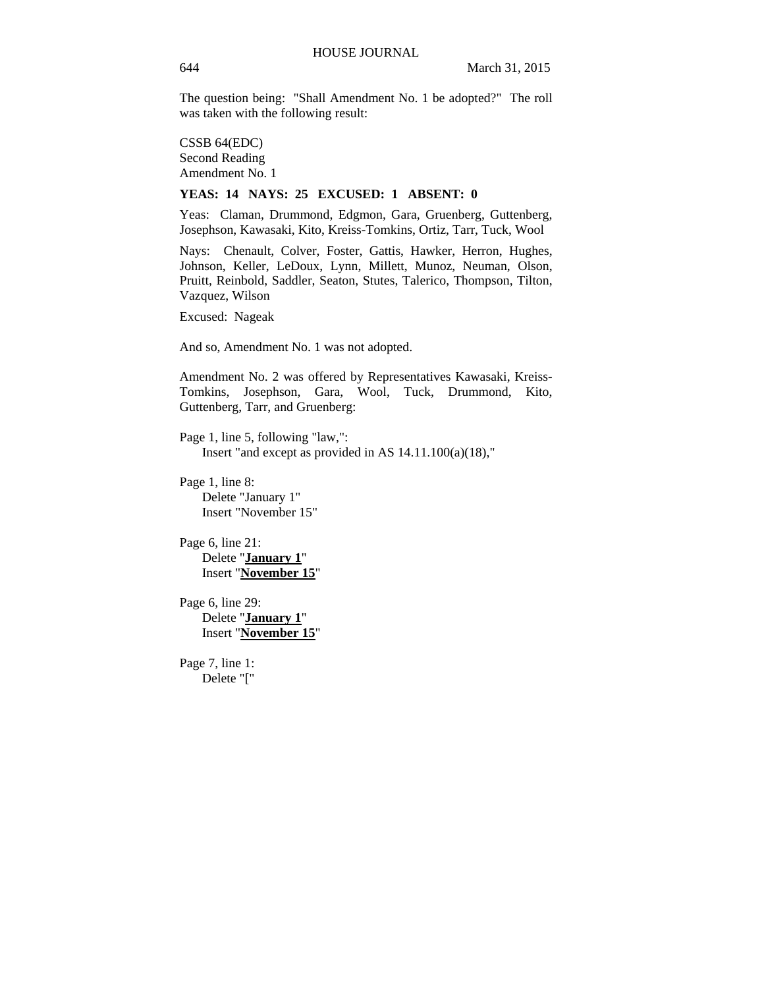The question being: "Shall Amendment No. 1 be adopted?" The roll was taken with the following result:

CSSB 64(EDC) Second Reading Amendment No. 1

#### **YEAS: 14 NAYS: 25 EXCUSED: 1 ABSENT: 0**

Yeas: Claman, Drummond, Edgmon, Gara, Gruenberg, Guttenberg, Josephson, Kawasaki, Kito, Kreiss-Tomkins, Ortiz, Tarr, Tuck, Wool

Nays: Chenault, Colver, Foster, Gattis, Hawker, Herron, Hughes, Johnson, Keller, LeDoux, Lynn, Millett, Munoz, Neuman, Olson, Pruitt, Reinbold, Saddler, Seaton, Stutes, Talerico, Thompson, Tilton, Vazquez, Wilson

Excused: Nageak

And so, Amendment No. 1 was not adopted.

Amendment No. 2 was offered by Representatives Kawasaki, Kreiss-Tomkins, Josephson, Gara, Wool, Tuck, Drummond, Kito, Guttenberg, Tarr, and Gruenberg:

Page 1, line 5, following "law,": Insert "and except as provided in AS 14.11.100(a)(18),"

Page 1, line 8: Delete "January 1" Insert "November 15"

Page 6, line 21: Delete "**January 1**" Insert "**November 15**"

Page 6, line 29: Delete "**January 1**" Insert "**November 15**"

Page 7, line 1: Delete "["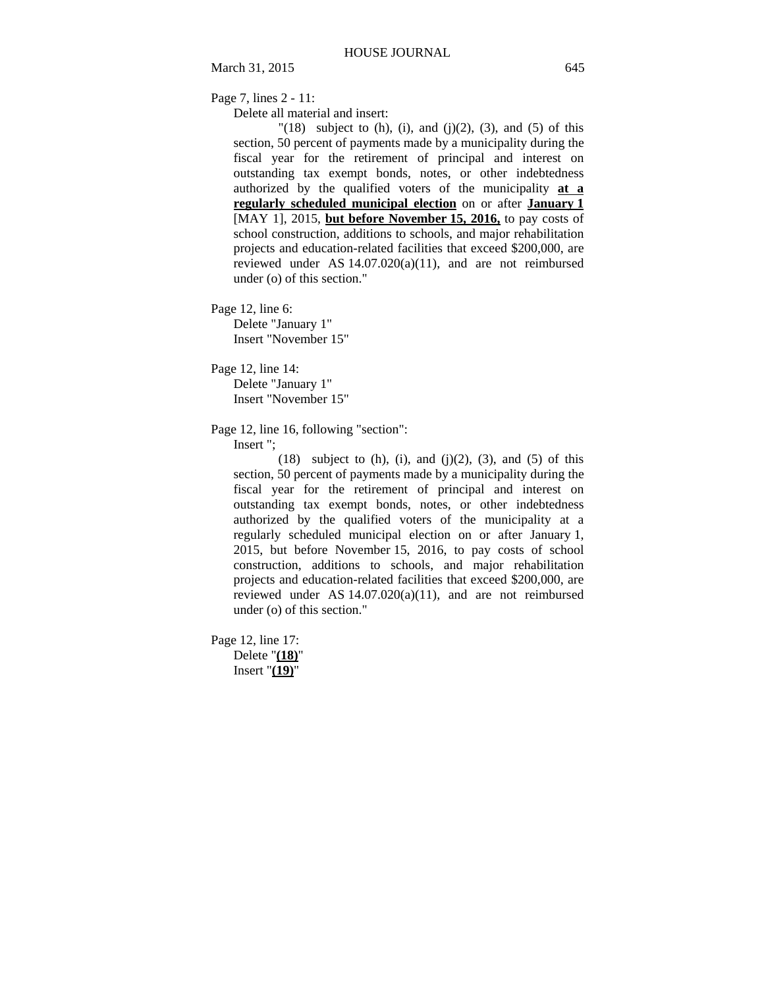Page 7, lines 2 - 11:

Delete all material and insert:

 $\lceil (18) \rceil$  subject to (h), (i), and (j)(2), (3), and (5) of this section, 50 percent of payments made by a municipality during the fiscal year for the retirement of principal and interest on outstanding tax exempt bonds, notes, or other indebtedness authorized by the qualified voters of the municipality **at a regularly scheduled municipal election** on or after **January 1** [MAY 1], 2015, **but before November 15, 2016,** to pay costs of school construction, additions to schools, and major rehabilitation projects and education-related facilities that exceed \$200,000, are reviewed under AS 14.07.020(a)(11), and are not reimbursed under (o) of this section."

Page 12, line 6: Delete "January 1" Insert "November 15"

Page 12, line 14:

Delete "January 1" Insert "November 15"

Page 12, line 16, following "section":

Insert ";

 $(18)$  subject to  $(h)$ ,  $(i)$ , and  $(j)(2)$ ,  $(3)$ , and  $(5)$  of this section, 50 percent of payments made by a municipality during the fiscal year for the retirement of principal and interest on outstanding tax exempt bonds, notes, or other indebtedness authorized by the qualified voters of the municipality at a regularly scheduled municipal election on or after January 1, 2015, but before November 15, 2016, to pay costs of school construction, additions to schools, and major rehabilitation projects and education-related facilities that exceed \$200,000, are reviewed under AS 14.07.020(a)(11), and are not reimbursed under (o) of this section."

Page 12, line 17: Delete "**(18)**" Insert "**(19)**"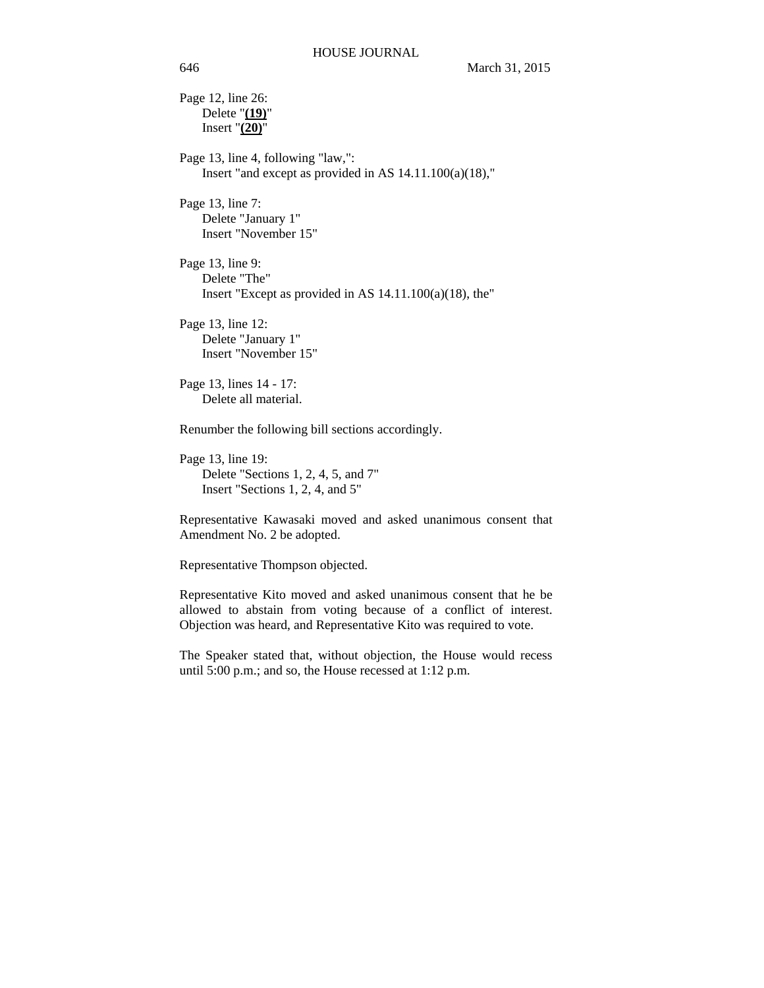Page 12, line 26: Delete "**(19)**" Insert  $\sqrt[n]{(20)}$ "

Page 13, line 4, following "law,": Insert "and except as provided in AS 14.11.100(a)(18),"

Page 13, line 7: Delete "January 1" Insert "November 15"

Page 13, line 9: Delete "The" Insert "Except as provided in AS 14.11.100(a)(18), the"

Page 13, line 12: Delete "January 1" Insert "November 15"

Page 13, lines 14 - 17: Delete all material.

Renumber the following bill sections accordingly.

Page 13, line 19: Delete "Sections 1, 2, 4, 5, and 7" Insert "Sections 1, 2, 4, and 5"

Representative Kawasaki moved and asked unanimous consent that Amendment No. 2 be adopted.

Representative Thompson objected.

Representative Kito moved and asked unanimous consent that he be allowed to abstain from voting because of a conflict of interest. Objection was heard, and Representative Kito was required to vote.

The Speaker stated that, without objection, the House would recess until 5:00 p.m.; and so, the House recessed at 1:12 p.m.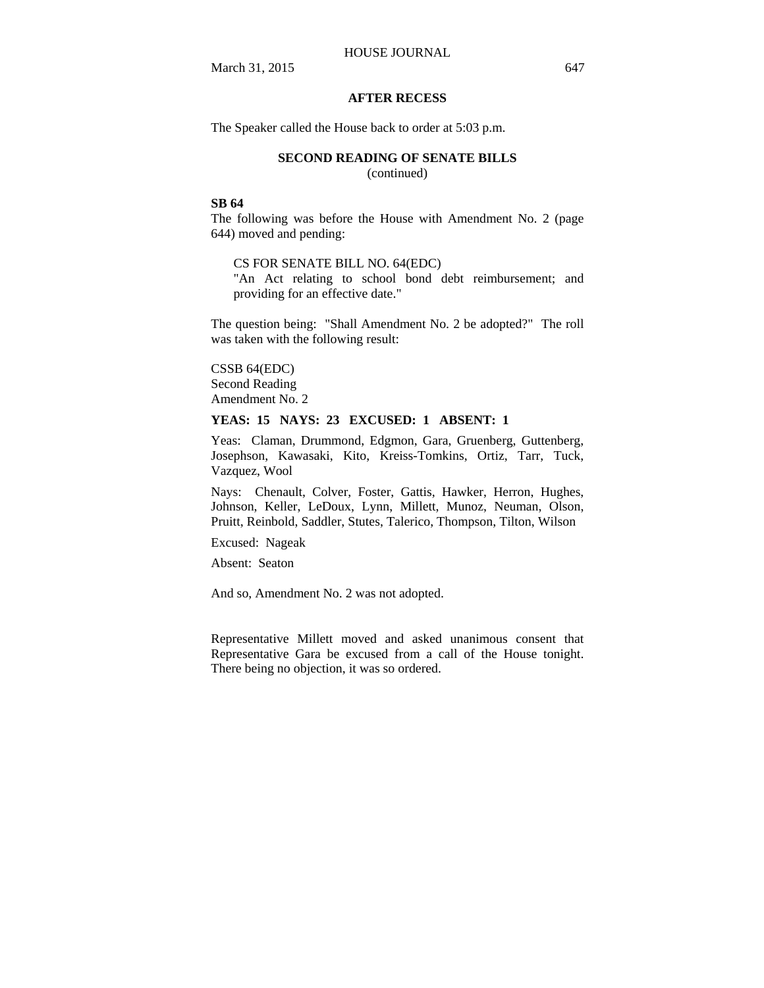# **AFTER RECESS**

The Speaker called the House back to order at 5:03 p.m.

#### **SECOND READING OF SENATE BILLS**

(continued)

### **SB 64**

The following was before the House with Amendment No. 2 (page 644) moved and pending:

#### CS FOR SENATE BILL NO. 64(EDC)

"An Act relating to school bond debt reimbursement; and providing for an effective date."

The question being: "Shall Amendment No. 2 be adopted?" The roll was taken with the following result:

# CSSB 64(EDC)

Second Reading Amendment No. 2

# **YEAS: 15 NAYS: 23 EXCUSED: 1 ABSENT: 1**

Yeas: Claman, Drummond, Edgmon, Gara, Gruenberg, Guttenberg, Josephson, Kawasaki, Kito, Kreiss-Tomkins, Ortiz, Tarr, Tuck, Vazquez, Wool

Nays: Chenault, Colver, Foster, Gattis, Hawker, Herron, Hughes, Johnson, Keller, LeDoux, Lynn, Millett, Munoz, Neuman, Olson, Pruitt, Reinbold, Saddler, Stutes, Talerico, Thompson, Tilton, Wilson

Excused: Nageak

Absent: Seaton

And so, Amendment No. 2 was not adopted.

Representative Millett moved and asked unanimous consent that Representative Gara be excused from a call of the House tonight. There being no objection, it was so ordered.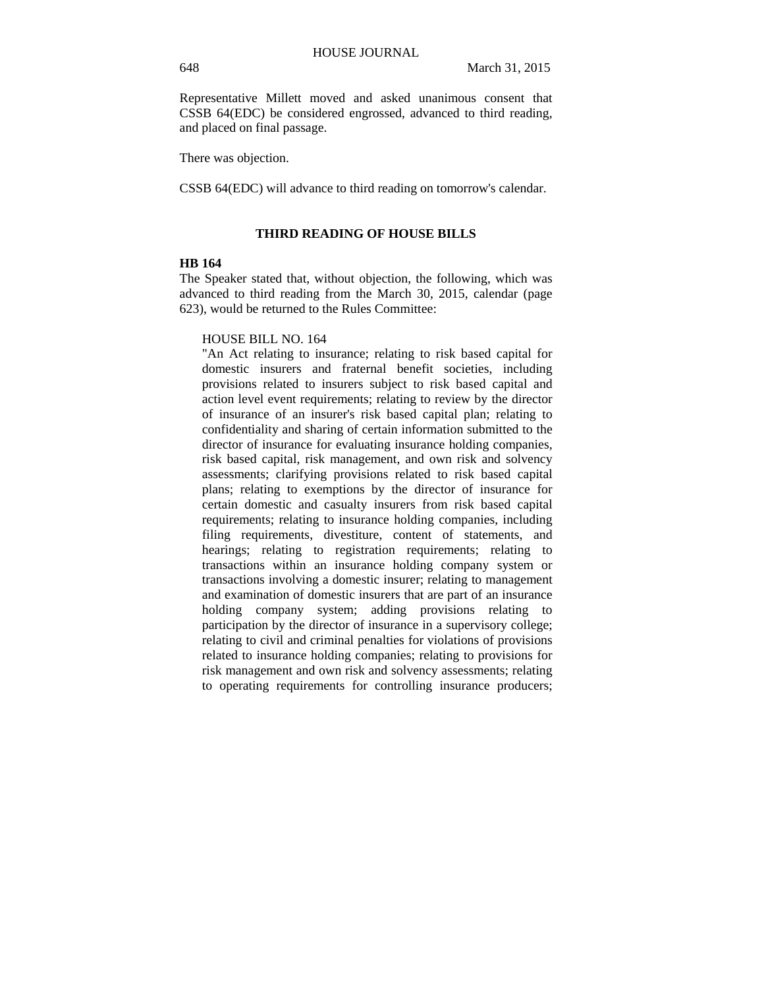Representative Millett moved and asked unanimous consent that CSSB 64(EDC) be considered engrossed, advanced to third reading, and placed on final passage.

There was objection.

CSSB 64(EDC) will advance to third reading on tomorrow's calendar.

# **THIRD READING OF HOUSE BILLS**

#### **HB 164**

The Speaker stated that, without objection, the following, which was advanced to third reading from the March 30, 2015, calendar (page 623), would be returned to the Rules Committee:

#### HOUSE BILL NO. 164

"An Act relating to insurance; relating to risk based capital for domestic insurers and fraternal benefit societies, including provisions related to insurers subject to risk based capital and action level event requirements; relating to review by the director of insurance of an insurer's risk based capital plan; relating to confidentiality and sharing of certain information submitted to the director of insurance for evaluating insurance holding companies, risk based capital, risk management, and own risk and solvency assessments; clarifying provisions related to risk based capital plans; relating to exemptions by the director of insurance for certain domestic and casualty insurers from risk based capital requirements; relating to insurance holding companies, including filing requirements, divestiture, content of statements, and hearings; relating to registration requirements; relating to transactions within an insurance holding company system or transactions involving a domestic insurer; relating to management and examination of domestic insurers that are part of an insurance holding company system; adding provisions relating to participation by the director of insurance in a supervisory college; relating to civil and criminal penalties for violations of provisions related to insurance holding companies; relating to provisions for risk management and own risk and solvency assessments; relating to operating requirements for controlling insurance producers;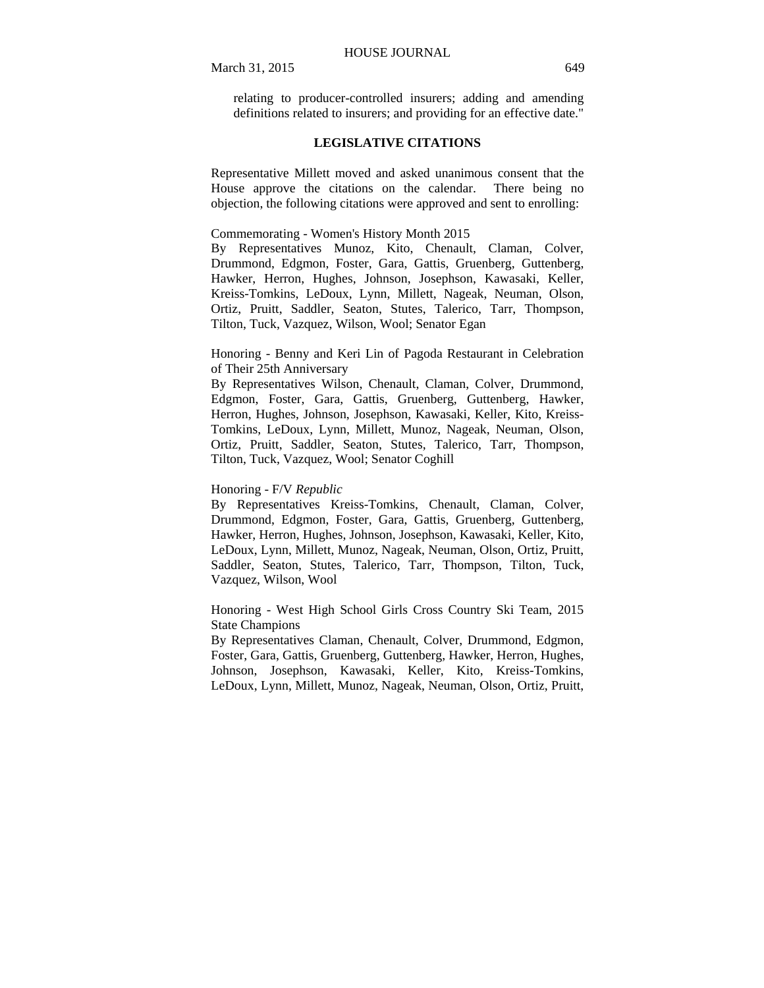relating to producer-controlled insurers; adding and amending definitions related to insurers; and providing for an effective date."

# **LEGISLATIVE CITATIONS**

Representative Millett moved and asked unanimous consent that the House approve the citations on the calendar. There being no objection, the following citations were approved and sent to enrolling:

Commemorating - Women's History Month 2015

By Representatives Munoz, Kito, Chenault, Claman, Colver, Drummond, Edgmon, Foster, Gara, Gattis, Gruenberg, Guttenberg, Hawker, Herron, Hughes, Johnson, Josephson, Kawasaki, Keller, Kreiss-Tomkins, LeDoux, Lynn, Millett, Nageak, Neuman, Olson, Ortiz, Pruitt, Saddler, Seaton, Stutes, Talerico, Tarr, Thompson, Tilton, Tuck, Vazquez, Wilson, Wool; Senator Egan

Honoring - Benny and Keri Lin of Pagoda Restaurant in Celebration of Their 25th Anniversary

By Representatives Wilson, Chenault, Claman, Colver, Drummond, Edgmon, Foster, Gara, Gattis, Gruenberg, Guttenberg, Hawker, Herron, Hughes, Johnson, Josephson, Kawasaki, Keller, Kito, Kreiss-Tomkins, LeDoux, Lynn, Millett, Munoz, Nageak, Neuman, Olson, Ortiz, Pruitt, Saddler, Seaton, Stutes, Talerico, Tarr, Thompson, Tilton, Tuck, Vazquez, Wool; Senator Coghill

#### Honoring - F/V *Republic*

By Representatives Kreiss-Tomkins, Chenault, Claman, Colver, Drummond, Edgmon, Foster, Gara, Gattis, Gruenberg, Guttenberg, Hawker, Herron, Hughes, Johnson, Josephson, Kawasaki, Keller, Kito, LeDoux, Lynn, Millett, Munoz, Nageak, Neuman, Olson, Ortiz, Pruitt, Saddler, Seaton, Stutes, Talerico, Tarr, Thompson, Tilton, Tuck, Vazquez, Wilson, Wool

Honoring - West High School Girls Cross Country Ski Team, 2015 State Champions

By Representatives Claman, Chenault, Colver, Drummond, Edgmon, Foster, Gara, Gattis, Gruenberg, Guttenberg, Hawker, Herron, Hughes, Johnson, Josephson, Kawasaki, Keller, Kito, Kreiss-Tomkins, LeDoux, Lynn, Millett, Munoz, Nageak, Neuman, Olson, Ortiz, Pruitt,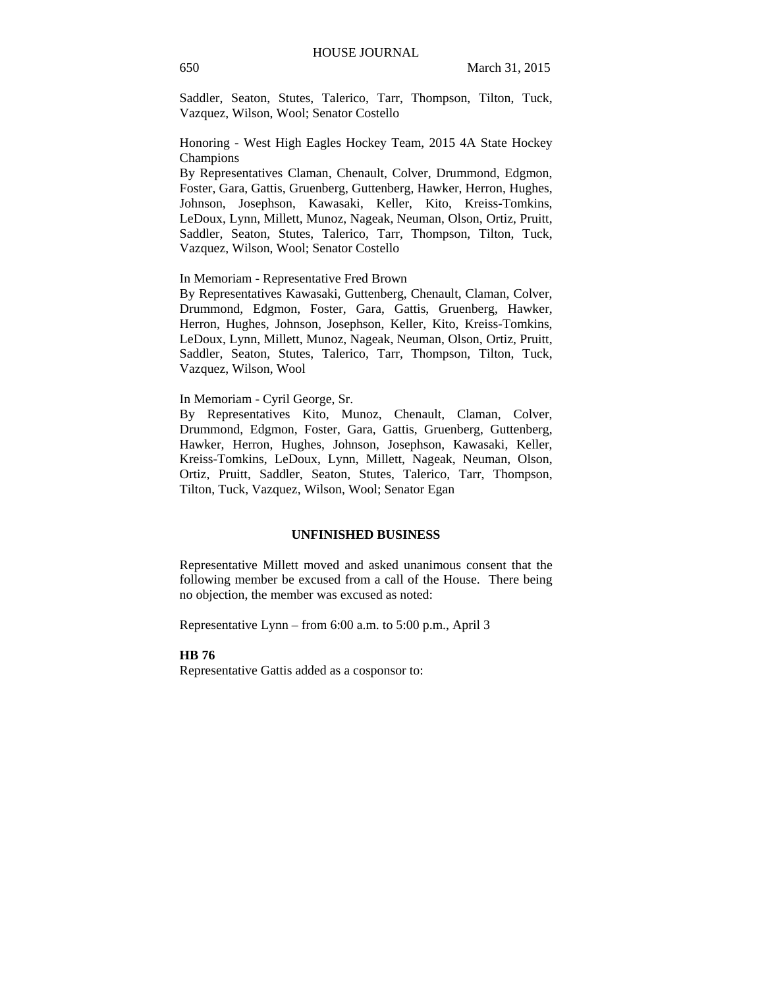Saddler, Seaton, Stutes, Talerico, Tarr, Thompson, Tilton, Tuck, Vazquez, Wilson, Wool; Senator Costello

Honoring - West High Eagles Hockey Team, 2015 4A State Hockey Champions

By Representatives Claman, Chenault, Colver, Drummond, Edgmon, Foster, Gara, Gattis, Gruenberg, Guttenberg, Hawker, Herron, Hughes, Johnson, Josephson, Kawasaki, Keller, Kito, Kreiss-Tomkins, LeDoux, Lynn, Millett, Munoz, Nageak, Neuman, Olson, Ortiz, Pruitt, Saddler, Seaton, Stutes, Talerico, Tarr, Thompson, Tilton, Tuck, Vazquez, Wilson, Wool; Senator Costello

In Memoriam - Representative Fred Brown

By Representatives Kawasaki, Guttenberg, Chenault, Claman, Colver, Drummond, Edgmon, Foster, Gara, Gattis, Gruenberg, Hawker, Herron, Hughes, Johnson, Josephson, Keller, Kito, Kreiss-Tomkins, LeDoux, Lynn, Millett, Munoz, Nageak, Neuman, Olson, Ortiz, Pruitt, Saddler, Seaton, Stutes, Talerico, Tarr, Thompson, Tilton, Tuck, Vazquez, Wilson, Wool

### In Memoriam - Cyril George, Sr.

By Representatives Kito, Munoz, Chenault, Claman, Colver, Drummond, Edgmon, Foster, Gara, Gattis, Gruenberg, Guttenberg, Hawker, Herron, Hughes, Johnson, Josephson, Kawasaki, Keller, Kreiss-Tomkins, LeDoux, Lynn, Millett, Nageak, Neuman, Olson, Ortiz, Pruitt, Saddler, Seaton, Stutes, Talerico, Tarr, Thompson, Tilton, Tuck, Vazquez, Wilson, Wool; Senator Egan

# **UNFINISHED BUSINESS**

Representative Millett moved and asked unanimous consent that the following member be excused from a call of the House. There being no objection, the member was excused as noted:

Representative Lynn – from 6:00 a.m. to 5:00 p.m., April 3

#### **HB 76**

Representative Gattis added as a cosponsor to: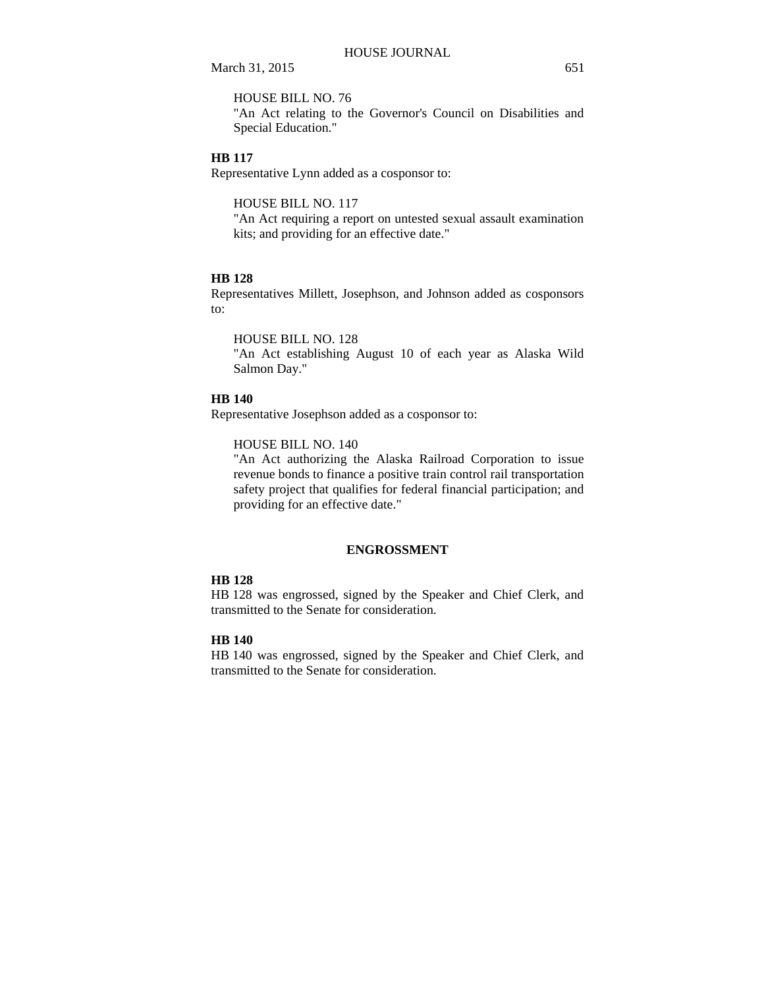HOUSE BILL NO. 76

"An Act relating to the Governor's Council on Disabilities and Special Education."

#### **HB 117**

Representative Lynn added as a cosponsor to:

HOUSE BILL NO. 117

"An Act requiring a report on untested sexual assault examination kits; and providing for an effective date."

## **HB 128**

Representatives Millett, Josephson, and Johnson added as cosponsors to:

HOUSE BILL NO. 128

"An Act establishing August 10 of each year as Alaska Wild Salmon Day."

### **HB 140**

Representative Josephson added as a cosponsor to:

HOUSE BILL NO. 140

"An Act authorizing the Alaska Railroad Corporation to issue revenue bonds to finance a positive train control rail transportation safety project that qualifies for federal financial participation; and providing for an effective date."

# **ENGROSSMENT**

# **HB 128**

HB 128 was engrossed, signed by the Speaker and Chief Clerk, and transmitted to the Senate for consideration.

### **HB 140**

HB 140 was engrossed, signed by the Speaker and Chief Clerk, and transmitted to the Senate for consideration.